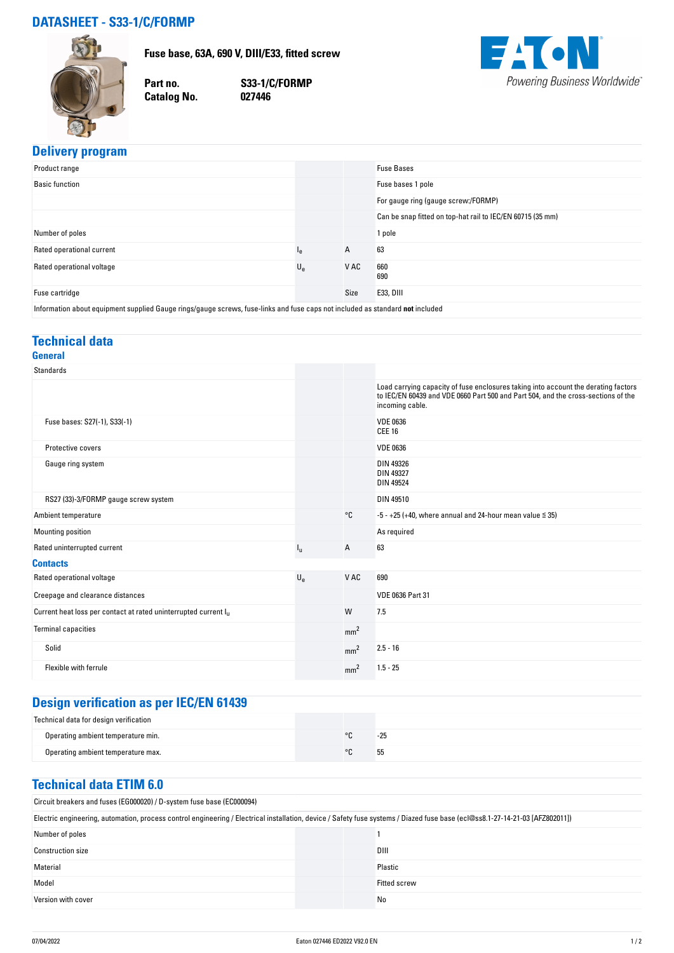### **DATASHEET - S33-1/C/FORMP**

**Fuse base, 63A, 690 V, DIII/E33, fitted screw**



**Catalog No.** 

**Part no. S33-1/C/FORMP**



#### **Delivery program**

| .<br>. .                                                                                                                      |             |      |                                                            |  |
|-------------------------------------------------------------------------------------------------------------------------------|-------------|------|------------------------------------------------------------|--|
| Product range                                                                                                                 |             |      | <b>Fuse Bases</b>                                          |  |
| <b>Basic function</b>                                                                                                         |             |      | Fuse bases 1 pole                                          |  |
|                                                                                                                               |             |      | For gauge ring (gauge screw:/FORMP)                        |  |
|                                                                                                                               |             |      | Can be snap fitted on top-hat rail to IEC/EN 60715 (35 mm) |  |
| Number of poles                                                                                                               |             |      | 1 pole                                                     |  |
| Rated operational current                                                                                                     | ١e          | A    | 63                                                         |  |
| Rated operational voltage                                                                                                     | $U_{\rm e}$ | V AC | 660<br>690                                                 |  |
| Fuse cartridge                                                                                                                |             | Size | E33, DIII                                                  |  |
| Information about equipment supplied Gauge rings/gauge screws, fuse-links and fuse caps not included as standard not included |             |      |                                                            |  |

#### **Technical data General**

| <b>Standards</b>                                                            |             |                 |                                                                                                                                                                                            |
|-----------------------------------------------------------------------------|-------------|-----------------|--------------------------------------------------------------------------------------------------------------------------------------------------------------------------------------------|
|                                                                             |             |                 | Load carrying capacity of fuse enclosures taking into account the derating factors<br>to IEC/EN 60439 and VDE 0660 Part 500 and Part 504, and the cross-sections of the<br>incoming cable. |
| Fuse bases: S27(-1), S33(-1)                                                |             |                 | <b>VDE 0636</b><br><b>CEE 16</b>                                                                                                                                                           |
| Protective covers                                                           |             |                 | <b>VDE 0636</b>                                                                                                                                                                            |
| Gauge ring system                                                           |             |                 | DIN 49326<br><b>DIN 49327</b><br><b>DIN 49524</b>                                                                                                                                          |
| RS27 (33)-3/FORMP gauge screw system                                        |             |                 | DIN 49510                                                                                                                                                                                  |
| Ambient temperature                                                         |             | °C              | $-5 - +25$ (+40, where annual and 24-hour mean value $\leq$ 35)                                                                                                                            |
| Mounting position                                                           |             |                 | As required                                                                                                                                                                                |
| Rated uninterrupted current                                                 | $I_{\rm H}$ | Α               | 63                                                                                                                                                                                         |
| <b>Contacts</b>                                                             |             |                 |                                                                                                                                                                                            |
| Rated operational voltage                                                   | $U_{\rm e}$ | V AC            | 690                                                                                                                                                                                        |
| Creepage and clearance distances                                            |             |                 | <b>VDE 0636 Part 31</b>                                                                                                                                                                    |
| Current heat loss per contact at rated uninterrupted current I <sub>u</sub> |             | W               | 7.5                                                                                                                                                                                        |
| <b>Terminal capacities</b>                                                  |             | mm <sup>2</sup> |                                                                                                                                                                                            |
| Solid                                                                       |             | mm <sup>2</sup> | $2.5 - 16$                                                                                                                                                                                 |
| Flexible with ferrule                                                       |             | mm <sup>2</sup> | $1.5 - 25$                                                                                                                                                                                 |

# **Design verification as per IEC/EN 61439**

| Technical data for design verification |         |       |
|----------------------------------------|---------|-------|
| Operating ambient temperature min.     | $\circ$ | $-25$ |
| Operating ambient temperature max.     | $\circ$ | 55    |

#### **Technical data ETIM 6.0**

Circuit breakers and fuses (EG000020) / D-system fuse base (EC000094)

| Electric engineering, automation, process control engineering / Electrical installation, device / Safety fuse systems / Diazed fuse base (ecl@ss8.1-27-14-21-03 [AFZ802011]) |                     |  |  |
|------------------------------------------------------------------------------------------------------------------------------------------------------------------------------|---------------------|--|--|
| Number of poles                                                                                                                                                              |                     |  |  |
| <b>Construction size</b>                                                                                                                                                     | DIII                |  |  |
| Material                                                                                                                                                                     | Plastic             |  |  |
| Model                                                                                                                                                                        | <b>Fitted screw</b> |  |  |
| Version with cover                                                                                                                                                           | No                  |  |  |